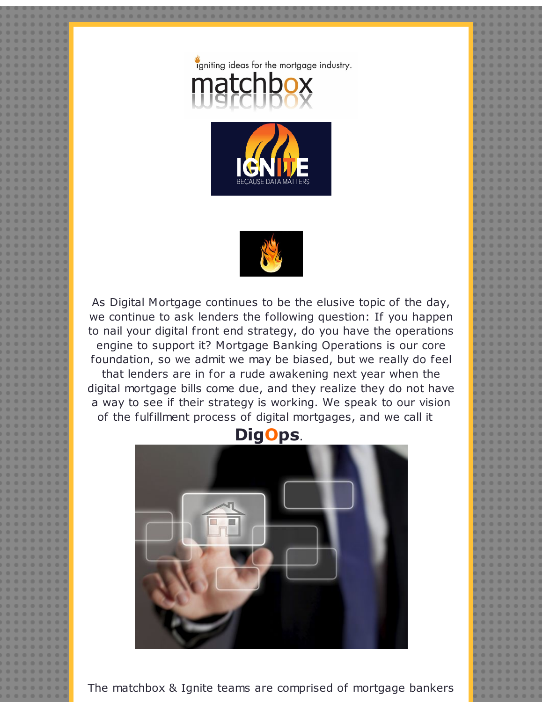





As Digital Mortgage continues to be the elusive topic of the day, we continue to ask lenders the following question: If you happen to nail your digital front end strategy, do you have the operations engine to support it? Mortgage Banking Operations is our core foundation, so we admit we may be biased, but we really do feel that lenders are in for a rude awakening next year when the digital mortgage bills come due, and they realize they do not have a way to see if their strategy is working. We speak to our vision of the fulfillment process of digital mortgages, and we call it



The matchbox & Ignite teams are comprised of mortgage bankers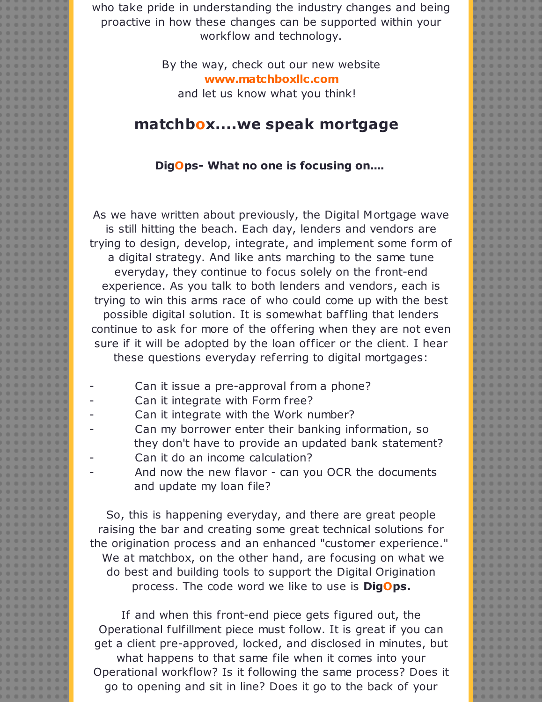who take pride in understanding the industry changes and being proactive in how these changes can be supported within your workflow and technology.

> By the way, check out our new website **[www.matchboxllc.com](http://r20.rs6.net/tn.jsp?f=001M0pF9Anc71f0uUz7ZxLNQKPXWCPNXd53tqgouBbcCpsOjeyojxuTL1fOacB_B5hU5zRdOgUZ-vxT6nfMOc-rwsgJH61H6IpbEh9ZMCTG6tm7muHnXdnOyAhnPk5gHWxPOywteKug3a5SyWEcDK1URLzkCMhMkILCf-x_QDozQuljR-0OdSJWvDK3ocT5QbStqqCtJEZ7I7LcpNHugwPF6nDeIy-db-rzhVMpvucm_hkf3J18q7X1De4aMUu7N29AghIlSRR5kboC0eNQ5UibUoJCH5YAT698x6qkz8iQp9eXRdMHU-29vLBrFSqU-Guaa-jnMrp5xVU=&c=&ch=)** and let us know what you think!

## **matchbox....we speak mortgage**

## **DigOps- What no one is focusing on....**

As we have written about previously, the Digital Mortgage wave is still hitting the beach. Each day, lenders and vendors are trying to design, develop, integrate, and implement some form of a digital strategy. And like ants marching to the same tune everyday, they continue to focus solely on the front-end experience. As you talk to both lenders and vendors, each is trying to win this arms race of who could come up with the best possible digital solution. It is somewhat baffling that lenders continue to ask for more of the offering when they are not even sure if it will be adopted by the loan officer or the client. I hear these questions everyday referring to digital mortgages:

- Can it issue a pre-approval from a phone?
- Can it integrate with Form free?
- Can it integrate with the Work number?
- Can my borrower enter their banking information, so they don't have to provide an updated bank statement?
- Can it do an income calculation?
- And now the new flavor can you OCR the documents and update my loan file?

So, this is happening everyday, and there are great people raising the bar and creating some great technical solutions for the origination process and an enhanced "customer experience." We at matchbox, on the other hand, are focusing on what we do best and building tools to support the Digital Origination process. The code word we like to use is **DigOps.**

If and when this front-end piece gets figured out, the Operational fulfillment piece must follow. It is great if you can get a client pre-approved, locked, and disclosed in minutes, but what happens to that same file when it comes into your Operational workflow? Is it following the same process? Does it go to opening and sit in line? Does it go to the back of your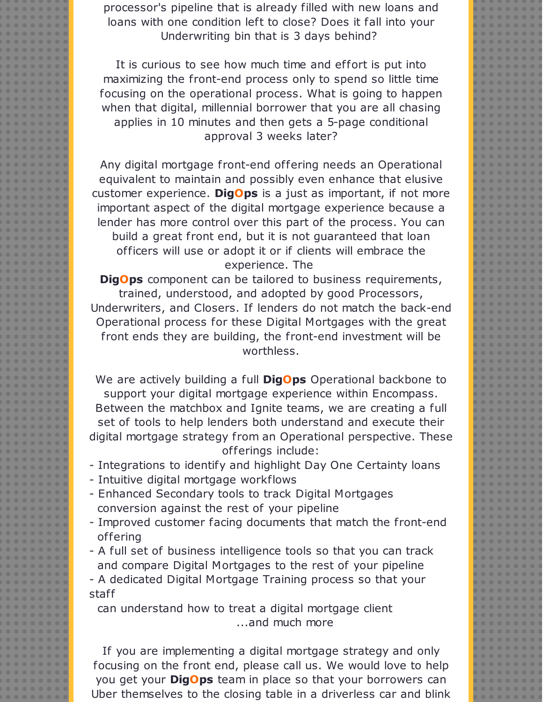processor's pipeline that is already filled with new loans and loans with one condition left to close? Does it fall into your Underwriting bin that is 3 days behind?

It is curious to see how much time and effort is put into maximizing the front-end process only to spend so little time focusing on the operational process. What is going to happen when that digital, millennial borrower that you are all chasing applies in 10 minutes and then gets a 5-page conditional approval 3 weeks later?

Any digital mortgage front-end offering needs an Operational equivalent to maintain and possibly even enhance that elusive customer experience. **DigOps** is a just as important, if not more important aspect of the digital mortgage experience because a lender has more control over this part of the process. You can build a great front end, but it is not guaranteed that loan officers will use or adopt it or if clients will embrace the experience. The

**DigOps** component can be tailored to business requirements, trained, understood, and adopted by good Processors, Underwriters, and Closers. If lenders do not match the back-end Operational process for these Digital Mortgages with the great front ends they are building, the front-end investment will be worthless.

We are actively building a full **DigOps** Operational backbone to support your digital mortgage experience within Encompass. Between the matchbox and Ignite teams, we are creating a full set of tools to help lenders both understand and execute their digital mortgage strategy from an Operational perspective. These offerings include:

- Integrations to identify and highlight Day One Certainty loans
- Intuitive digital mortgage workflows
- Enhanced Secondary tools to track Digital Mortgages conversion against the rest of your pipeline
- Improved customer facing documents that match the front-end offering
- A full set of business intelligence tools so that you can track and compare Digital Mortgages to the rest of your pipeline

- A dedicated Digital Mortgage Training process so that your staff

can understand how to treat a digital mortgage client ...and much more

If you are implementing a digital mortgage strategy and only focusing on the front end, please call us. We would love to help you get your **DigOps** team in place so that your borrowers can Uber themselves to the closing table in a driverless car and blink